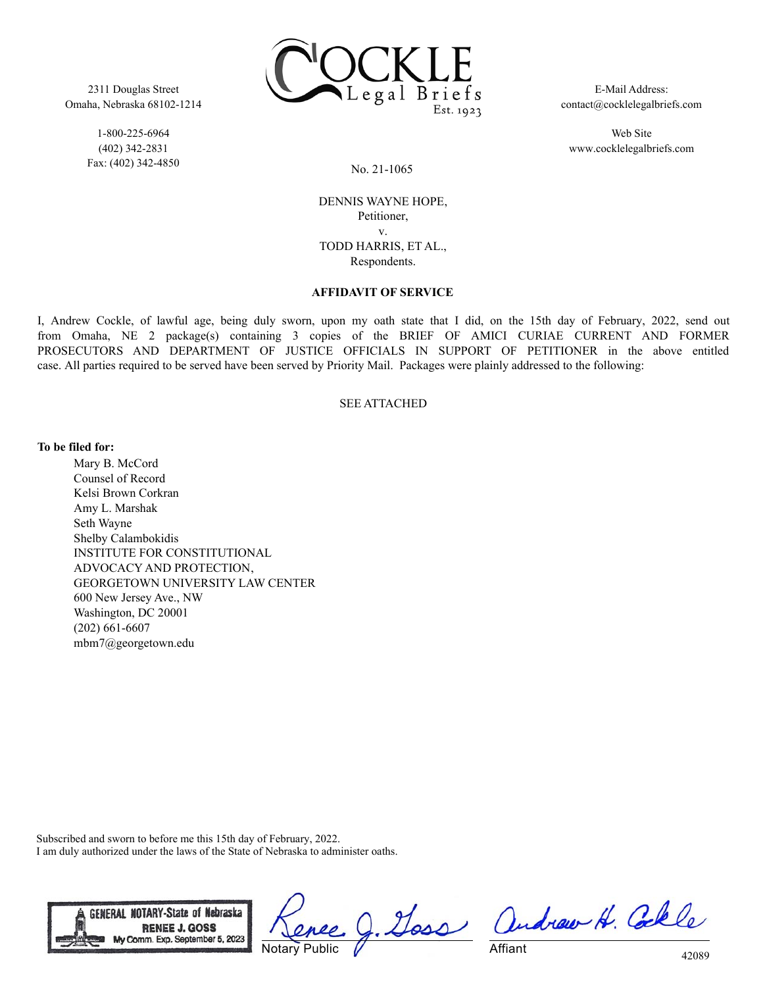2311 Douglas Street Omaha, Nebraska 68102-1214

> 1-800-225-6964 (402) 342-2831 Fax: (402) 342-4850



E-Mail Address: contact@cocklelegalbriefs.com

Web Site www.cocklelegalbriefs.com

No. 21-1065

DENNIS WAYNE HOPE, Petitioner, v. TODD HARRIS, ET AL., Respondents.

## **AFFIDAVIT OF SERVICE**

I, Andrew Cockle, of lawful age, being duly sworn, upon my oath state that I did, on the 15th day of February, 2022, send out from Omaha, NE 2 package(s) containing 3 copies of the BRIEF OF AMICI CURIAE CURRENT AND FORMER PROSECUTORS AND DEPARTMENT OF JUSTICE OFFICIALS IN SUPPORT OF PETITIONER in the above entitled case. All parties required to be served have been served by Priority Mail. Packages were plainly addressed to the following:

## SEE ATTACHED

**To be filed for:**

Mary B. McCord Counsel of Record Kelsi Brown Corkran Amy L. Marshak Seth Wayne Shelby Calambokidis INSTITUTE FOR CONSTITUTIONAL ADVOCACY AND PROTECTION, GEORGETOWN UNIVERSITY LAW CENTER 600 New Jersey Ave., NW Washington, DC 20001 (202) 661-6607 mbm7@georgetown.edu

Subscribed and sworn to before me this 15th day of February, 2022. I am duly authorized under the laws of the State of Nebraska to administer oaths.



Notary Public

J. Goss andrew H. Colle